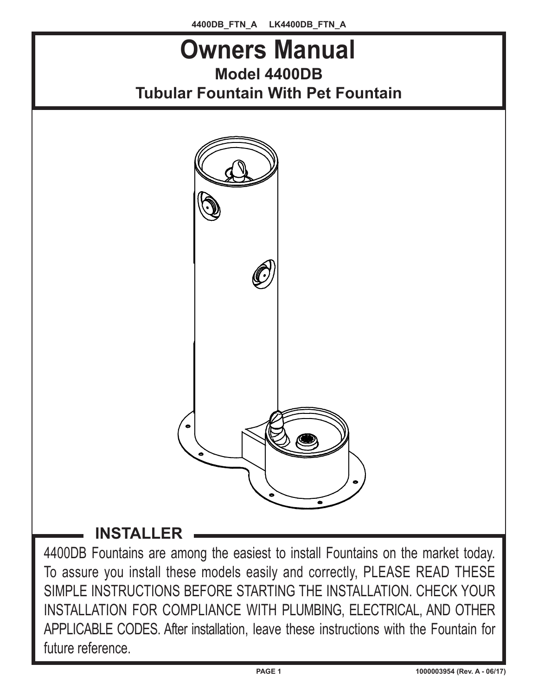

4400DB Fountains are among the easiest to install Fountains on the market today. To assure you install these models easily and correctly, PLEASE READ THESE SIMPLE INSTRUCTIONS BEFORE STARTING THE INSTALLATION. CHECK YOUR INSTALLATION FOR COMPLIANCE WITH PLUMBING, ELECTRICAL, AND OTHER APPLICABLE CODES. After installation, leave these instructions with the Fountain for future reference.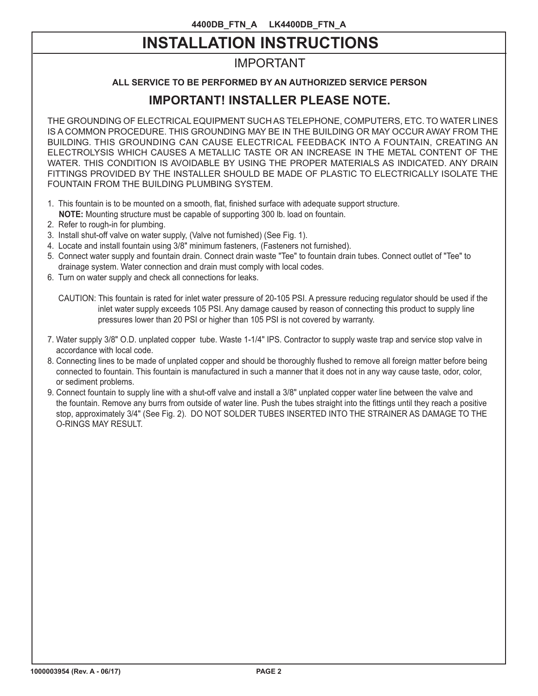# **INSTALLATION INSTRUCTIONS**

## IMPORTANT

## **ALL SERVICE TO BE PERFORMED BY AN AUTHORIZED SERVICE PERSON**

## **IMPORTANT! INSTALLER PLEASE NOTE.**

THE GROUNDING OF ELECTRICAL EQUIPMENT SUCH AS TELEPHONE, COMPUTERS, ETC. TO WATER LINES IS A COMMON PROCEDURE. THIS GROUNDING MAY BE IN THE BUILDING OR MAY OCCUR AWAY FROM THE BUILDING. THIS GROUNDING CAN CAUSE ELECTRICAL FEEDBACK INTO A FOUNTAIN, CREATING AN ELECTROLYSIS WHICH CAUSES A METALLIC TASTE OR AN INCREASE IN THE METAL CONTENT OF THE WATER. THIS CONDITION IS AVOIDABLE BY USING THE PROPER MATERIALS AS INDICATED. ANY DRAIN FITTINGS PROVIDED BY THE INSTALLER SHOULD BE MADE OF PLASTIC TO ELECTRICALLY ISOLATE THE FOUNTAIN FROM THE BUILDING PLUMBING SYSTEM.

- 1. This fountain is to be mounted on a smooth, flat, finished surface with adequate support structure.
- **NOTE:** Mounting structure must be capable of supporting 300 lb. load on fountain.
- 2. Refer to rough-in for plumbing.
- 3. Install shut-off valve on water supply, (Valve not furnished) (See Fig. 1).
- 4. Locate and install fountain using 3/8" minimum fasteners, (Fasteners not furnished).
- 5. Connect water supply and fountain drain. Connect drain waste "Tee" to fountain drain tubes. Connect outlet of "Tee" to drainage system. Water connection and drain must comply with local codes.
- 6. Turn on water supply and check all connections for leaks.
	- CAUTION: This fountain is rated for inlet water pressure of 20-105 PSI. A pressure reducing regulator should be used if the inlet water supply exceeds 105 PSI. Any damage caused by reason of connecting this product to supply line pressures lower than 20 PSI or higher than 105 PSI is not covered by warranty.
- 7. Water supply 3/8" O.D. unplated copper tube. Waste 1-1/4" IPS. Contractor to supply waste trap and service stop valve in accordance with local code.
- 8. Connecting lines to be made of unplated copper and should be thoroughly flushed to remove all foreign matter before being connected to fountain. This fountain is manufactured in such a manner that it does not in any way cause taste, odor, color, or sediment problems.
- 9. Connect fountain to supply line with a shut-off valve and install a 3/8" unplated copper water line between the valve and the fountain. Remove any burrs from outside of water line. Push the tubes straight into the fittings until they reach a positive stop, approximately 3/4" (See Fig. 2). DO NOT SOLDER TUBES INSERTED INTO THE STRAINER AS DAMAGE TO THE O-RINGS MAY RESULT.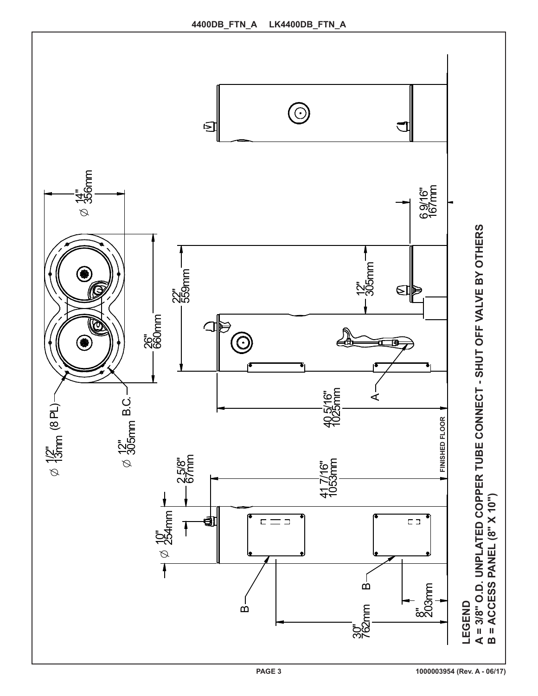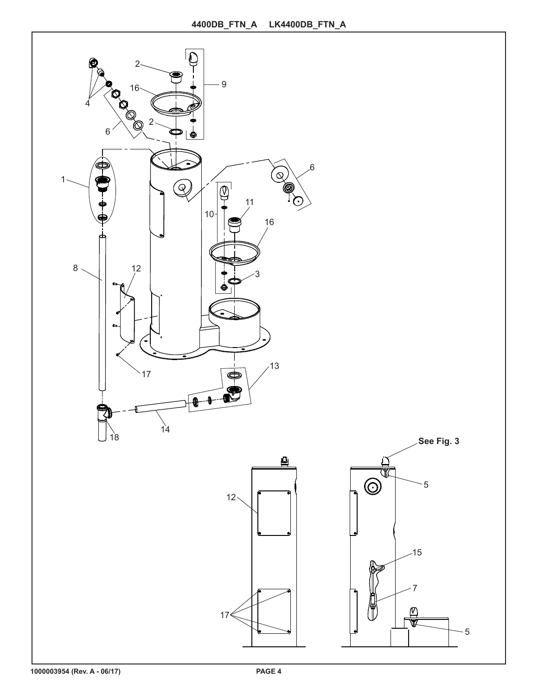